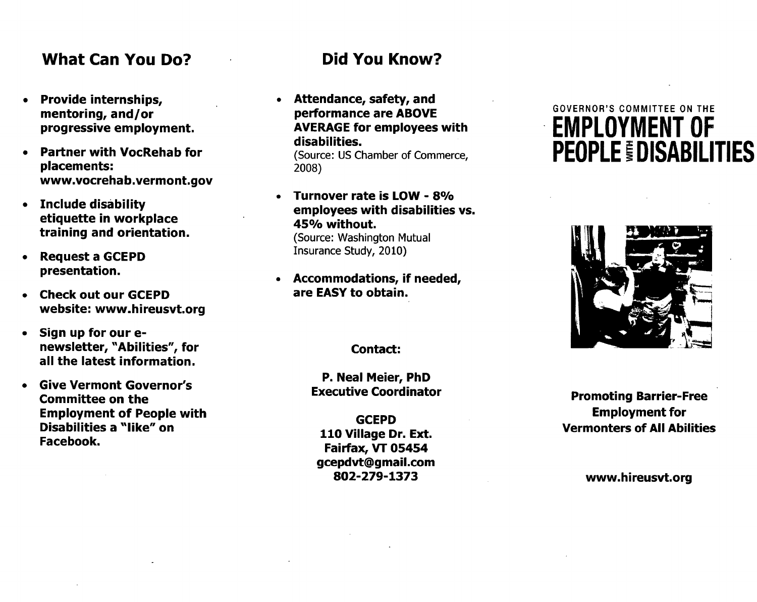#### **What Can You Do? Did You Know?**

- **Provide internships, mentoring, and/or progressive employment.**
- **Partner with VocRehab for placements: www.vocrehab.vermont.gov**
- **Include disability etiquette in workplace training and orientation.**
- **Request a GCEPD presentation.**
- **Check out our GCEPD website: www.hireusvt.org**
- **Sign up for our enewsletter, "Abilities", for all the latest information.**
- **Give Vermont Governor's Committee on the Employment of People with Disabilities a "like" on Facebook.**

**• Attendance, safety, and performance are ABOVE AVERAGE for employees with disabilities.** 

(Source: US Chamber of Commerce, 2008)

- **Turnover rate is LOW 8% employees with disabilities vs. 45% without.**  (Source: Washington Mutual Insurance Study, 2010)
- **Accommodations, if needed, are EASY to obtain.**

**Contact:** 

**P. Neal Meier, PhD Executive Coordinator** 

**GCEPD 110 Village Dr. Ext. Fairfax, VT 05454 gcepdvt@gmail.com 802-279-1373** 

# GOVERNOR'S COMMITTEE ON THE EMPLOYMENT OF **PEOPLE DISABILITIES**



**Promoting Barrier-Free Employment for Vermonters of All Abilities** 

**www.hireusvt.org**